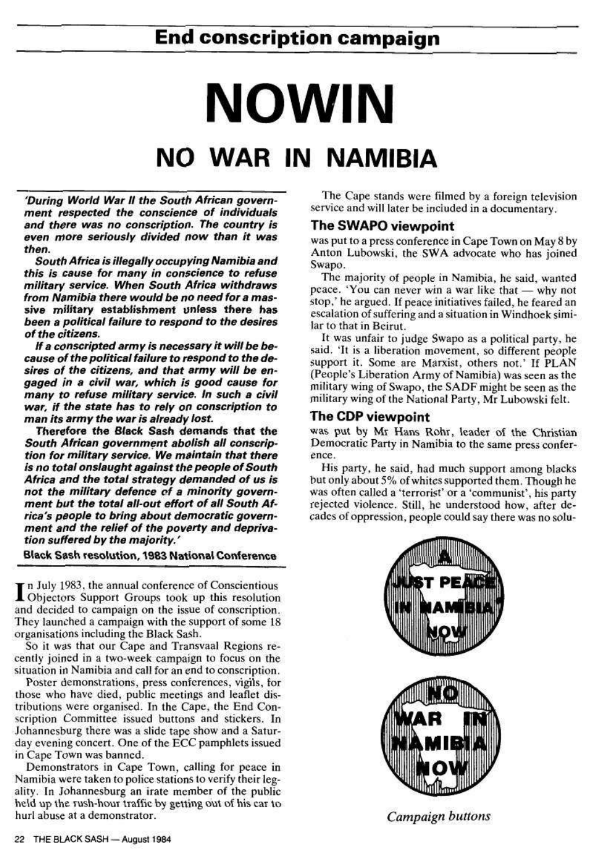## **End conscription campaign**

# **NO WIN NO WAR IN NAMIBIA**

'During World War II the South African government respected the conscience of individuals and there was no conscription. The country is even more seriously divided now than it was then.

South Africa is illegally occupying Namibia and this is cause for many in conscience to refuse military service. When South Africa withdraws from Namibia there would be no need for a massive military establishment unless there has been a political failure to respond to the desires of the citizens.

If a conscripted army is necessary it will be because of the political failure to respond to the desires of the citizens, and that army will be engaged in a civil war, which is good cause for many to refuse military service. In such a civil war, if the state has to rely on conscription to man its army the war is already lost.

In July 1983, the annual conference of Conscientious<br>Objectors Support Groups took up this resolution n July 1983, the annual conference of Conscientious and decided to campaign on the issue of conscription. They launched a campaign with the support of some 18 organisations including the Black Sash.

Therefore the Black Sash demands that the South African government abolish all conscription for military service. We maintain that there is no total onslaught against the people of South Africa and the total strategy demanded of us is not the military defence of a minority government but the total all-out effort of all South Africa's people to bring about democratic government and the relief of the poverty and deprivation suffered by the majority.'

#### Black Sash resolution, 1983 National Conference

So it was that our Cape and Transvaal Regions recently joined in a two-week campaign to focus on the

situation in Namibia and call for an end to conscription.

Poster demonstrations, press conferences, vigils, for those who have died, public meetings and leaflet distributions were organised. In the Cape, the End Conscription Committee issued buttons and stickers. In Johannesburg there was a slide tape show and a Saturday evening concert. One of the ECC pamphlets issued in Cape Town was banned.

Demonstrators in Cape Town, calling for peace in Namibia were taken to police stations to verify their legality. In Johannesburg an irate member of the public held up the rush-hour traffic by getting out of his car to hurl abuse at a demonstrator.

#### 22 THE BLACK SASH - August 1984

The Cape stands were filmed by a foreign television service and will later be included in a documentary.

#### **The SWAPO viewpoint**

was put to a press conference in Cape Town on May 8 by Anton Lubowski, the SWA advocate who has joined Swapo.

The majority of people in Namibia, he said, wanted peace. 'You can never win a war like that — why not stop,' he argued. If peace initiatives failed, he feared an escalation of suffering and a situation in Windhoek similar to that in Beirut.

It was unfair to judge Swapo as a political party, he said. 'It is a liberation movement, so different people support it. Some are Marxist, others not.' If PLAN (People's Liberation Army of Namibia) was seen as the military wing of Swapo, the SADF might be seen as the military wing of the National Party, Mr Lubowski felt.

#### **The CDP** viewpoint

was put by Mr Hans Rohr, leader of the Christian Democratic Party in Namibia to the same press conference.

His party, he said, had much support among blacks but only about 5% of whites supported them. Though he was often called a 'terrorist' or a 'communist', his party rejected violence. Still, he understood how, after decades of oppression, people could say there was no solu-



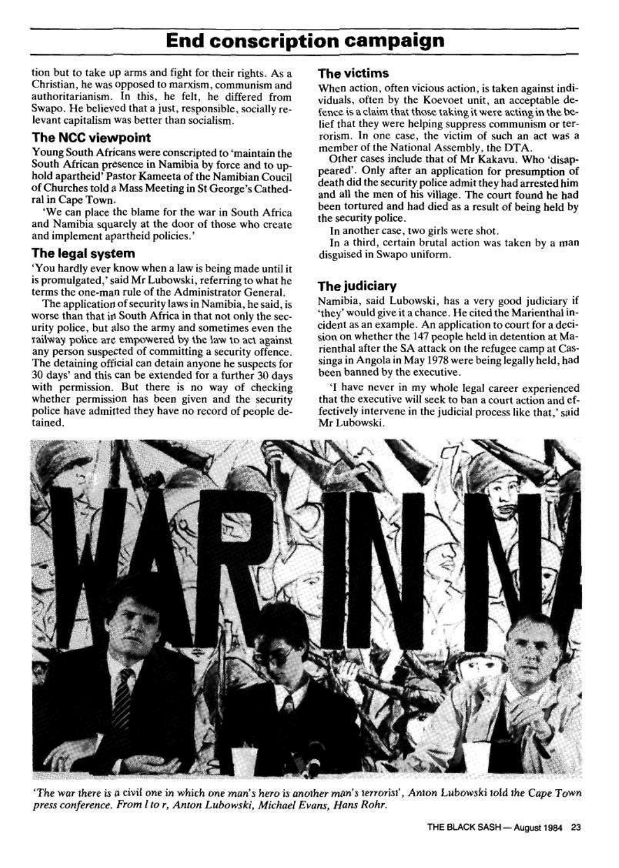## **End conscription campaign**

tion but to take up arms and fight for their rights. As a Christian, he was opposed to marxism, communism and authoritarianism. In this, he felt, he differed from Swapo. He believed that a just, responsible, socially relevant capitalism was better than socialism.

Young South Africans were conscripted to "maintain the South African presence in Namibia by force and to uphold apartheid' Pastor Kameeta of the Namibian Coucil of Churches told 3 Mass Meeting in St George's Cathedral in Cape Town.

'We can place the blame for the war in South Africa and Namibia squarely at the door of those who create and implement apartheid policies.'

#### The NCC viewpoint

#### The legal system

\* You hardly ever know when a law is being made until it is promulgated,' said Mr Lubowski, referring to what he terms the one-man rule of the Administrator General.

The application of security laws in Namibia, he said, is worse than that in South Africa in that not only the security police, but also the army and sometimes even the railway police arc empowered by the law to act against any person suspected of committing a security offence. The detaining official can detain anyone he suspects for 30 days\* and this can be extended for a further 30 days with permission. But there is no way of checking whether permission has been given and the security police have admitted they have no record of people detained.

#### The victims

When action, often vicious action, is taken against individuals^ often by the Koevoet unit, an acceptable defence is a claim that those taking it were acting in the belief that they were helping suppress communism or terrorism. In one case, the victim of such an act was a member of the National Assembly, the DTA.

Other cases include that of Mr Kakavu, Who 'disappeared'. Only after an application for presumption of death did the security police admit they had arrested him and all the men of his village. The court found he had been tortured and had died as a result of being held by the security police.

In another case, two girls were shot.

In a third, certain brutal action was taken by a man disguised in Swapo uniform.

#### The judiciary

Namibia, said Lubowski, has a very good judiciary if \*thcy' would give it a chance. He cited the Marienthal incident as an example. An application to court for a decision on whether the 147 people held in detention at Marienthal after the SA attack on the refugee camp at Cas\* singa in Angola in May 1978 were being legally held, **had**  been banned by the executive,

\*I have never in my whole legal career experienced that the executive will seek to ban a court action and effectively intervene in the judicial process like that,' said Mr Lubowski.



*'The war there is a civil one in which one man's hero is another man's terrorist\*, Anton Lubowski told the Cape Town press conference. From I to r<sup>t</sup> Anton Lubowski, Michael Evans, Hans Rohr.* 

#### THE BLACK SASH—August 1984 23